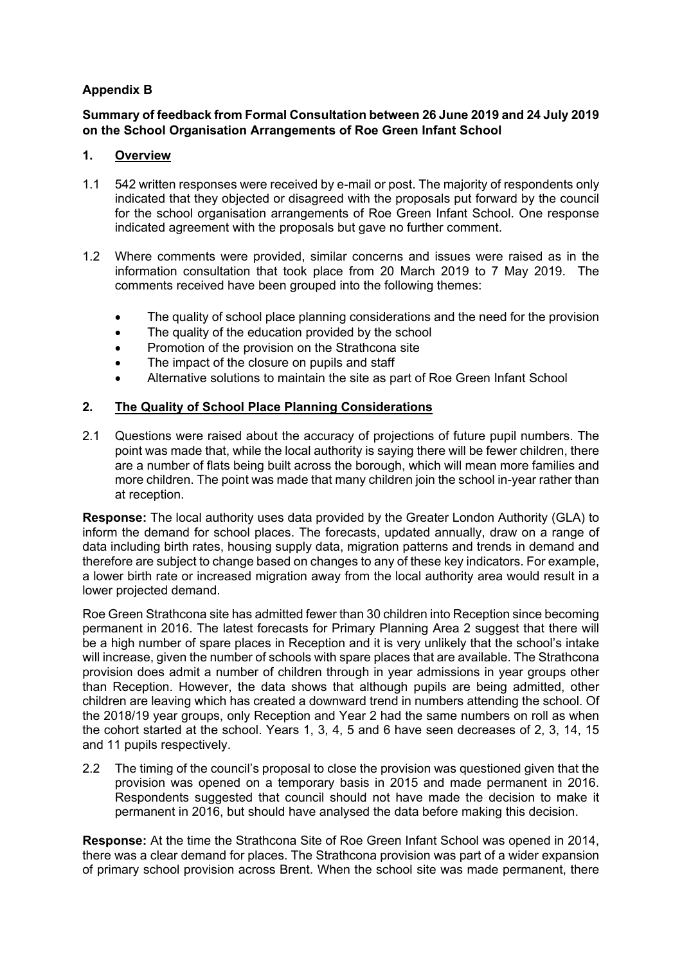# **Appendix B**

### **Summary of feedback from Formal Consultation between 26 June 2019 and 24 July 2019 on the School Organisation Arrangements of Roe Green Infant School**

### **1. Overview**

- 1.1 542 written responses were received by e-mail or post. The majority of respondents only indicated that they objected or disagreed with the proposals put forward by the council for the school organisation arrangements of Roe Green Infant School. One response indicated agreement with the proposals but gave no further comment.
- 1.2 Where comments were provided, similar concerns and issues were raised as in the information consultation that took place from 20 March 2019 to 7 May 2019. The comments received have been grouped into the following themes:
	- The quality of school place planning considerations and the need for the provision
	- The quality of the education provided by the school
	- Promotion of the provision on the Strathcona site
	- The impact of the closure on pupils and staff
	- Alternative solutions to maintain the site as part of Roe Green Infant School

## **2. The Quality of School Place Planning Considerations**

2.1 Questions were raised about the accuracy of projections of future pupil numbers. The point was made that, while the local authority is saying there will be fewer children, there are a number of flats being built across the borough, which will mean more families and more children. The point was made that many children join the school in-year rather than at reception.

**Response:** The local authority uses data provided by the Greater London Authority (GLA) to inform the demand for school places. The forecasts, updated annually, draw on a range of data including birth rates, housing supply data, migration patterns and trends in demand and therefore are subject to change based on changes to any of these key indicators. For example, a lower birth rate or increased migration away from the local authority area would result in a lower projected demand.

Roe Green Strathcona site has admitted fewer than 30 children into Reception since becoming permanent in 2016. The latest forecasts for Primary Planning Area 2 suggest that there will be a high number of spare places in Reception and it is very unlikely that the school's intake will increase, given the number of schools with spare places that are available. The Strathcona provision does admit a number of children through in year admissions in year groups other than Reception. However, the data shows that although pupils are being admitted, other children are leaving which has created a downward trend in numbers attending the school. Of the 2018/19 year groups, only Reception and Year 2 had the same numbers on roll as when the cohort started at the school. Years 1, 3, 4, 5 and 6 have seen decreases of 2, 3, 14, 15 and 11 pupils respectively.

2.2 The timing of the council's proposal to close the provision was questioned given that the provision was opened on a temporary basis in 2015 and made permanent in 2016. Respondents suggested that council should not have made the decision to make it permanent in 2016, but should have analysed the data before making this decision.

**Response:** At the time the Strathcona Site of Roe Green Infant School was opened in 2014, there was a clear demand for places. The Strathcona provision was part of a wider expansion of primary school provision across Brent. When the school site was made permanent, there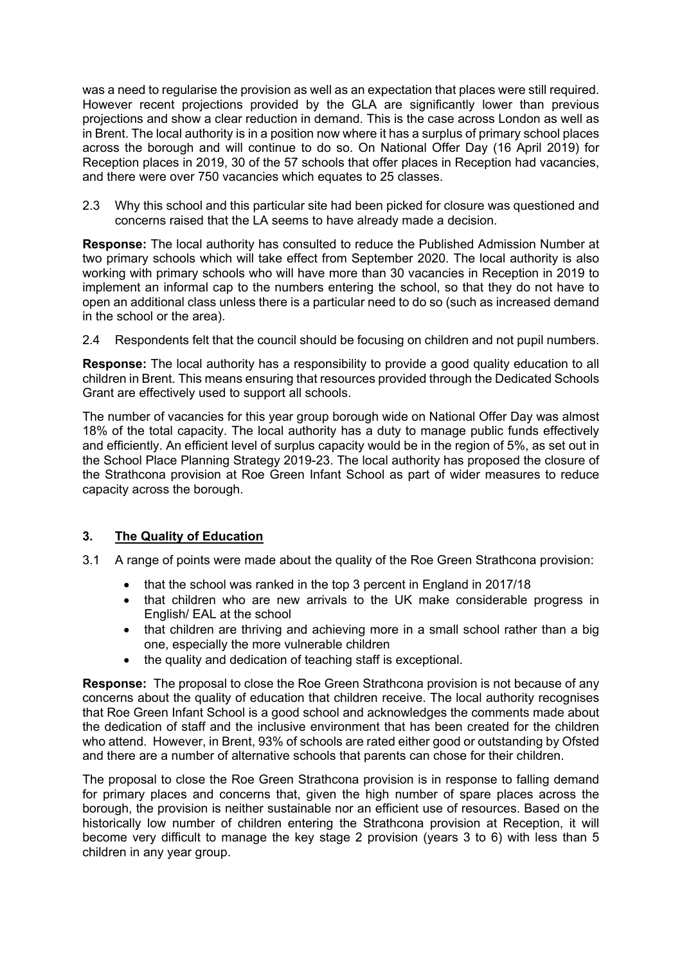was a need to regularise the provision as well as an expectation that places were still required. However recent projections provided by the GLA are significantly lower than previous projections and show a clear reduction in demand. This is the case across London as well as in Brent. The local authority is in a position now where it has a surplus of primary school places across the borough and will continue to do so. On National Offer Day (16 April 2019) for Reception places in 2019, 30 of the 57 schools that offer places in Reception had vacancies, and there were over 750 vacancies which equates to 25 classes.

2.3 Why this school and this particular site had been picked for closure was questioned and concerns raised that the LA seems to have already made a decision.

**Response:** The local authority has consulted to reduce the Published Admission Number at two primary schools which will take effect from September 2020. The local authority is also working with primary schools who will have more than 30 vacancies in Reception in 2019 to implement an informal cap to the numbers entering the school, so that they do not have to open an additional class unless there is a particular need to do so (such as increased demand in the school or the area).

2.4 Respondents felt that the council should be focusing on children and not pupil numbers.

**Response:** The local authority has a responsibility to provide a good quality education to all children in Brent. This means ensuring that resources provided through the Dedicated Schools Grant are effectively used to support all schools.

The number of vacancies for this year group borough wide on National Offer Day was almost 18% of the total capacity. The local authority has a duty to manage public funds effectively and efficiently. An efficient level of surplus capacity would be in the region of 5%, as set out in the School Place Planning Strategy 2019-23. The local authority has proposed the closure of the Strathcona provision at Roe Green Infant School as part of wider measures to reduce capacity across the borough.

#### **3. The Quality of Education**

- 3.1 A range of points were made about the quality of the Roe Green Strathcona provision:
	- that the school was ranked in the top 3 percent in England in 2017/18
	- that children who are new arrivals to the UK make considerable progress in English/ EAL at the school
	- that children are thriving and achieving more in a small school rather than a big one, especially the more vulnerable children
	- the quality and dedication of teaching staff is exceptional.

**Response:** The proposal to close the Roe Green Strathcona provision is not because of any concerns about the quality of education that children receive. The local authority recognises that Roe Green Infant School is a good school and acknowledges the comments made about the dedication of staff and the inclusive environment that has been created for the children who attend. However, in Brent, 93% of schools are rated either good or outstanding by Ofsted and there are a number of alternative schools that parents can chose for their children.

The proposal to close the Roe Green Strathcona provision is in response to falling demand for primary places and concerns that, given the high number of spare places across the borough, the provision is neither sustainable nor an efficient use of resources. Based on the historically low number of children entering the Strathcona provision at Reception, it will become very difficult to manage the key stage 2 provision (years 3 to 6) with less than 5 children in any year group.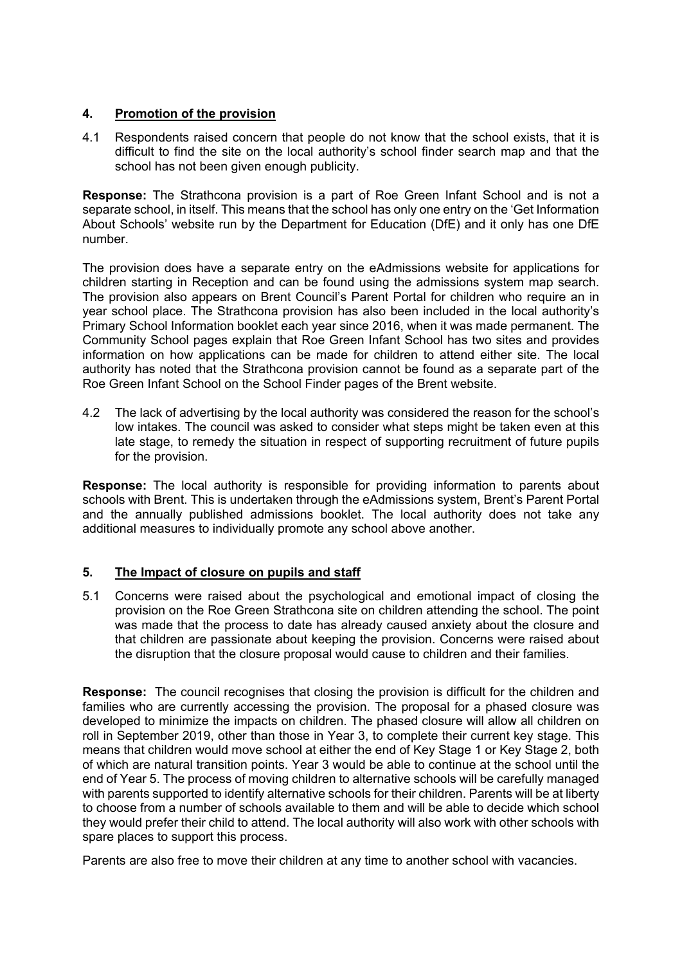## **4. Promotion of the provision**

4.1 Respondents raised concern that people do not know that the school exists, that it is difficult to find the site on the local authority's school finder search map and that the school has not been given enough publicity.

**Response:** The Strathcona provision is a part of Roe Green Infant School and is not a separate school, in itself. This means that the school has only one entry on the 'Get Information About Schools' website run by the Department for Education (DfE) and it only has one DfE number.

The provision does have a separate entry on the eAdmissions website for applications for children starting in Reception and can be found using the admissions system map search. The provision also appears on Brent Council's Parent Portal for children who require an in year school place. The Strathcona provision has also been included in the local authority's Primary School Information booklet each year since 2016, when it was made permanent. The Community School pages explain that Roe Green Infant School has two sites and provides information on how applications can be made for children to attend either site. The local authority has noted that the Strathcona provision cannot be found as a separate part of the Roe Green Infant School on the School Finder pages of the Brent website.

4.2 The lack of advertising by the local authority was considered the reason for the school's low intakes. The council was asked to consider what steps might be taken even at this late stage, to remedy the situation in respect of supporting recruitment of future pupils for the provision.

**Response:** The local authority is responsible for providing information to parents about schools with Brent. This is undertaken through the eAdmissions system, Brent's Parent Portal and the annually published admissions booklet. The local authority does not take any additional measures to individually promote any school above another.

#### **5. The Impact of closure on pupils and staff**

5.1 Concerns were raised about the psychological and emotional impact of closing the provision on the Roe Green Strathcona site on children attending the school. The point was made that the process to date has already caused anxiety about the closure and that children are passionate about keeping the provision. Concerns were raised about the disruption that the closure proposal would cause to children and their families.

**Response:** The council recognises that closing the provision is difficult for the children and families who are currently accessing the provision. The proposal for a phased closure was developed to minimize the impacts on children. The phased closure will allow all children on roll in September 2019, other than those in Year 3, to complete their current key stage. This means that children would move school at either the end of Key Stage 1 or Key Stage 2, both of which are natural transition points. Year 3 would be able to continue at the school until the end of Year 5. The process of moving children to alternative schools will be carefully managed with parents supported to identify alternative schools for their children. Parents will be at liberty to choose from a number of schools available to them and will be able to decide which school they would prefer their child to attend. The local authority will also work with other schools with spare places to support this process.

Parents are also free to move their children at any time to another school with vacancies.